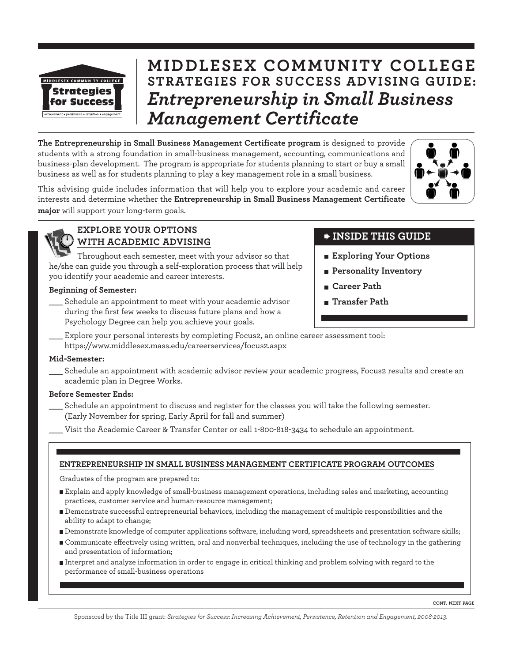

# **MIDDLESEX COMMUNITY COLLEGE STRATEGIES FOR SUCCESS ADVISING GUIDE:** *Entrepreneurship in Small Business*

*Management Certificate* **The Entrepreneurship in Small Business Management Certificate program** is designed to provide students with a strong foundation in small-business management, accounting, communications and business-plan development. The program is appropriate for students planning to start or buy a small business as well as for students planning to play a key management role in a small business.



This advising guide includes information that will help you to explore your academic and career interests and determine whether the **Entrepreneurship in Small Business Management Certificate major** will support your long-term goals.



### **EXPLORE YOUR OPTIONS WITH ACADEMIC ADVISING**

Throughout each semester, meet with your advisor so that he/she can guide you through a self-exploration process that will help you identify your academic and career interests.

### **Beginning of Semester:**

\_\_\_ Schedule an appointment to meet with your academic advisor during the first few weeks to discuss future plans and how a Psychology Degree can help you achieve your goals.

## **INSIDE THIS GUIDE**

- **Exploring Your Options**
- **Personality Inventory**
- **Career Path**
- **Transfer Path**
- Explore your personal interests by completing Focus2, an online career assessment tool: https://www.middlesex.mass.edu/careerservices/focus2.aspx

### **Mid-Semester:**

\_\_\_ Schedule an appointment with academic advisor review your academic progress, Focus2 results and create an academic plan in Degree Works.

### **Before Semester Ends:**

- Schedule an appointment to discuss and register for the classes you will take the following semester. (Early November for spring, Early April for fall and summer)
- Visit the Academic Career & Transfer Center or call 1-800-818-3434 to schedule an appointment.

### **ENTREPRENEURSHIP IN SMALL BUSINESS MANAGEMENT CERTIFICATE PROGRAM OUTCOMES**

Graduates of the program are prepared to:

- Explain and apply knowledge of small-business management operations, including sales and marketing, accounting practices, customer service and human-resource management;
- Demonstrate successful entrepreneurial behaviors, including the management of multiple responsibilities and the ability to adapt to change;
- Demonstrate knowledge of computer applications software, including word, spreadsheets and presentation software skills;
- Communicate effectively using written, oral and nonverbal techniques, including the use of technology in the gathering and presentation of information;
- Interpret and analyze information in order to engage in critical thinking and problem solving with regard to the performance of small-business operations